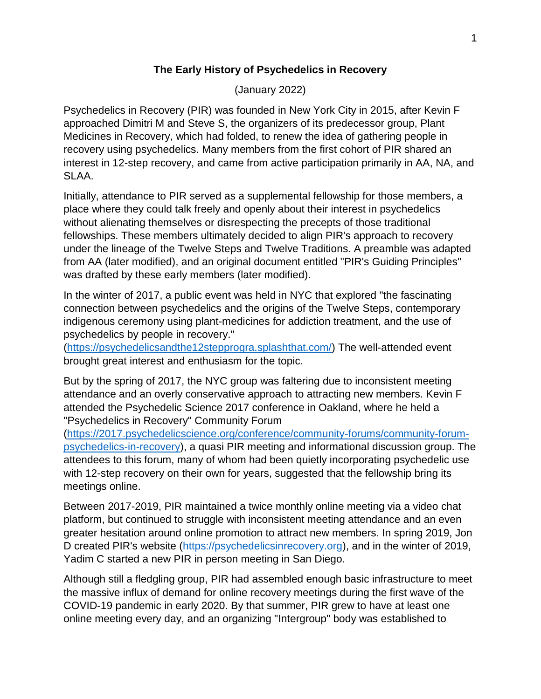## **The Early History of Psychedelics in Recovery**

(January 2022)

Psychedelics in Recovery (PIR) was founded in New York City in 2015, after Kevin F approached Dimitri M and Steve S, the organizers of its predecessor group, Plant Medicines in Recovery, which had folded, to renew the idea of gathering people in recovery using psychedelics. Many members from the first cohort of PIR shared an interest in 12-step recovery, and came from active participation primarily in AA, NA, and SLAA.

Initially, attendance to PIR served as a supplemental fellowship for those members, a place where they could talk freely and openly about their interest in psychedelics without alienating themselves or disrespecting the precepts of those traditional fellowships. These members ultimately decided to align PIR's approach to recovery under the lineage of the Twelve Steps and Twelve Traditions. A preamble was adapted from AA (later modified), and an original document entitled "PIR's Guiding Principles" was drafted by these early members (later modified).

In the winter of 2017, a public event was held in NYC that explored "the fascinating connection between psychedelics and the origins of the Twelve Steps, contemporary indigenous ceremony using plant-medicines for addiction treatment, and the use of psychedelics by people in recovery."

[\(https://psychedelicsandthe12stepprogra.splashthat.com/\)](https://psychedelicsandthe12stepprogra.splashthat.com/) The well-attended event brought great interest and enthusiasm for the topic.

But by the spring of 2017, the NYC group was faltering due to inconsistent meeting attendance and an overly conservative approach to attracting new members. Kevin F attended the Psychedelic Science 2017 conference in Oakland, where he held a "Psychedelics in Recovery" Community Forum

[\(https://2017.psychedelicscience.org/conference/community-forums/community-forum](https://2017.psychedelicscience.org/conference/community-forums/community-forum-psychedelics-in-recovery)[psychedelics-in-recovery\)](https://2017.psychedelicscience.org/conference/community-forums/community-forum-psychedelics-in-recovery), a quasi PIR meeting and informational discussion group. The attendees to this forum, many of whom had been quietly incorporating psychedelic use with 12-step recovery on their own for years, suggested that the fellowship bring its meetings online.

Between 2017-2019, PIR maintained a twice monthly online meeting via a video chat platform, but continued to struggle with inconsistent meeting attendance and an even greater hesitation around online promotion to attract new members. In spring 2019, Jon D created PIR's website [\(https://psychedelicsinrecovery.org\)](https://psychedelicsinrecovery.org/), and in the winter of 2019, Yadim C started a new PIR in person meeting in San Diego.

Although still a fledgling group, PIR had assembled enough basic infrastructure to meet the massive influx of demand for online recovery meetings during the first wave of the COVID-19 pandemic in early 2020. By that summer, PIR grew to have at least one online meeting every day, and an organizing "Intergroup" body was established to